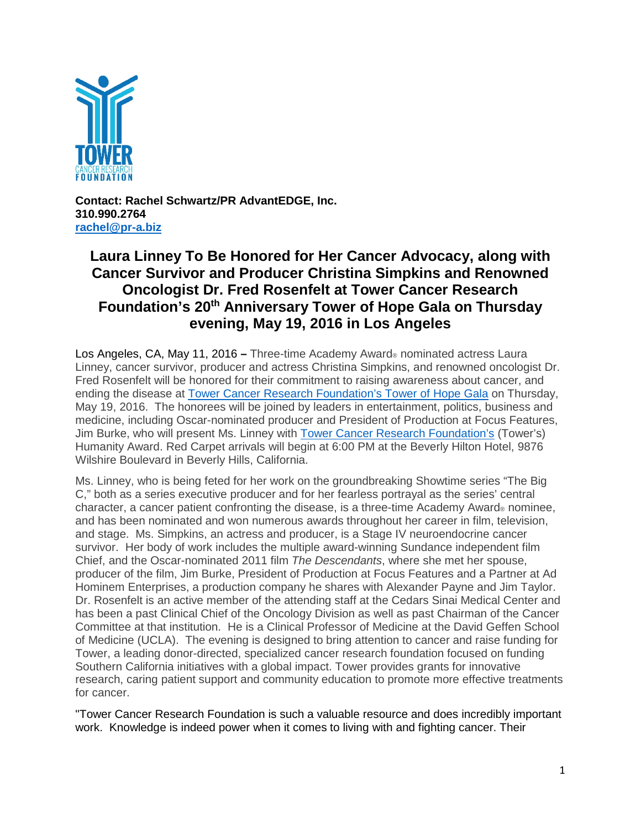

**Contact: Rachel Schwartz/PR AdvantEDGE, Inc. 310.990.2764 [rachel@pr-a.biz](mailto:rachel@pr-a.biz)**

## **Laura Linney To Be Honored for Her Cancer Advocacy, along with Cancer Survivor and Producer Christina Simpkins and Renowned Oncologist Dr. Fred Rosenfelt at Tower Cancer Research Foundation's 20th Anniversary Tower of Hope Gala on Thursday evening, May 19, 2016 in Los Angeles**

Los Angeles, CA, May 11, 2016 **–** Three-time Academy Award® nominated actress Laura Linney, cancer survivor, producer and actress Christina Simpkins, and renowned oncologist Dr. Fred Rosenfelt will be honored for their commitment to raising awareness about cancer, and ending the disease at **Tower Cancer Research Foundation's Tower of Hope Gala on Thursday**, May 19, 2016. The honorees will be joined by leaders in entertainment, politics, business and medicine, including Oscar-nominated producer and President of Production at Focus Features, Jim Burke, who will present Ms. Linney with [Tower Cancer Research Foundation's](http://towercancer.org/tcrf-story/) (Tower's) Humanity Award. Red Carpet arrivals will begin at 6:00 PM at the Beverly Hilton Hotel, 9876 Wilshire Boulevard in Beverly Hills, California.

Ms. Linney, who is being feted for her work on the groundbreaking Showtime series "The Big C," both as a series executive producer and for her fearless portrayal as the series' central character, a cancer patient confronting the disease, is a three-time Academy Award® nominee, and has been nominated and won numerous awards throughout her career in film, television, and stage. Ms. Simpkins, an actress and producer, is a Stage IV neuroendocrine cancer survivor. Her body of work includes the multiple award-winning Sundance independent film Chief, and the Oscar-nominated 2011 film *The Descendants*, where she met her spouse, producer of the film, Jim Burke, President of Production at Focus Features and a Partner at Ad Hominem Enterprises, a production company he shares with Alexander Payne and Jim Taylor. Dr. Rosenfelt is an active member of the attending staff at the Cedars Sinai Medical Center and has been a past Clinical Chief of the Oncology Division as well as past Chairman of the Cancer Committee at that institution. He is a Clinical Professor of Medicine at the David Geffen School of Medicine (UCLA). The evening is designed to bring attention to cancer and raise funding for Tower, a leading donor-directed, specialized cancer research foundation focused on funding Southern California initiatives with a global impact. Tower provides grants for innovative research, caring patient support and community education to promote more effective treatments for cancer.

"Tower Cancer Research Foundation is such a valuable resource and does incredibly important work. Knowledge is indeed power when it comes to living with and fighting cancer. Their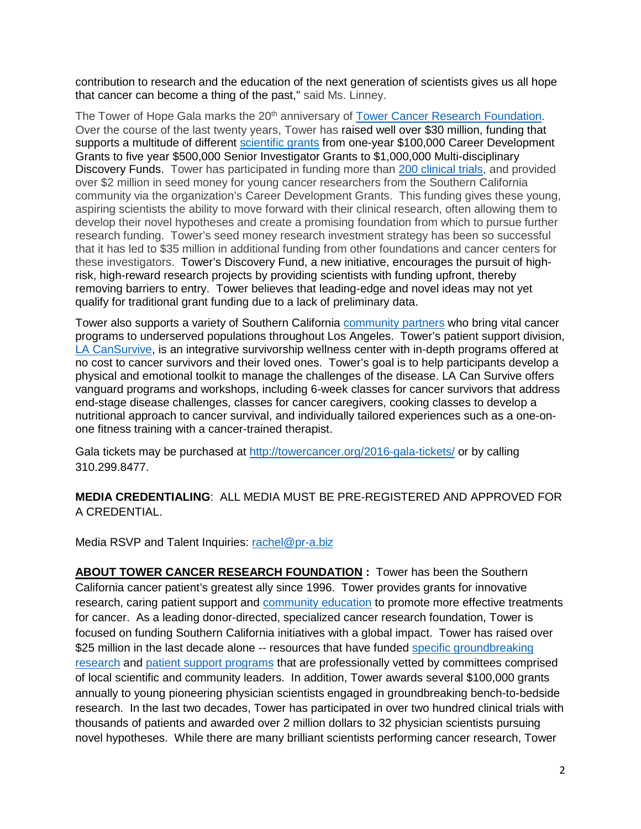contribution to research and the education of the next generation of scientists gives us all hope that cancer can become a thing of the past," said Ms. Linney.

The Tower of Hope Gala marks the 20<sup>th</sup> anniversary of [Tower Cancer Research Foundation.](http://towercancer.org/tcrf-story/) Over the course of the last twenty years, Tower has raised well over \$30 million, funding that supports a multitude of different [scientific grants](http://towercancer.org/research-grants/) from one-year \$100,000 Career Development Grants to five year \$500,000 Senior Investigator Grants to \$1,000,000 Multi-disciplinary Discovery Funds. Tower has participated in funding more than [200 clinical trials,](http://towercancer.org/research-grants-about/) and provided over \$2 million in seed money for young cancer researchers from the Southern California community via the organization's Career Development Grants. This funding gives these young, aspiring scientists the ability to move forward with their clinical research, often allowing them to develop their novel hypotheses and create a promising foundation from which to pursue further research funding. Tower's seed money research investment strategy has been so successful that it has led to \$35 million in additional funding from other foundations and cancer centers for these investigators. Tower's Discovery Fund, a new initiative, encourages the pursuit of highrisk, high-reward research projects by providing scientists with funding upfront, thereby removing barriers to entry. Tower believes that leading-edge and novel ideas may not yet qualify for traditional grant funding due to a lack of preliminary data.

Tower also supports a variety of Southern California [community partners](http://towercancer.org/community-partnerships/) who bring vital cancer programs to underserved populations throughout Los Angeles. Tower's patient support division, [LA CanSurvive,](http://towercancer.org/lacansurvive/) is an integrative survivorship wellness center with in-depth programs offered at no cost to cancer survivors and their loved ones. Tower's goal is to help participants develop a physical and emotional toolkit to manage the challenges of the disease. LA Can Survive offers vanguard programs and workshops, including 6-week classes for cancer survivors that address end-stage disease challenges, classes for cancer caregivers, cooking classes to develop a nutritional approach to cancer survival, and individually tailored experiences such as a one-onone fitness training with a cancer-trained therapist.

Gala tickets may be purchased at<http://towercancer.org/2016-gala-tickets/> or by calling 310.299.8477.

**MEDIA CREDENTIALING**: ALL MEDIA MUST BE PRE-REGISTERED AND APPROVED FOR A CREDENTIAL.

Media RSVP and Talent Inquiries: [rachel@pr-a.biz](mailto:rachel@pr-a.biz)

**ABOUT TOWER CANCER RESEARCH FOUNDATION :** Tower has been the Southern California cancer patient's greatest ally since 1996.Tower provides grants for innovative research, caring patient support and [community education](http://towercancer.org/community-partnerships/) to promote more effective treatments for cancer. As a leading donor-directed, specialized cancer research foundation, Tower is focused on funding Southern California initiatives with a global impact. Tower has raised over \$25 million in the last decade alone -- resources that have funded specific groundbreaking [research](http://towercancer.org/research-grants/) and [patient support programs](http://towercancer.org/lacansurvive/) that are professionally vetted by committees comprised of local scientific and community leaders. In addition, Tower awards several \$100,000 grants annually to young pioneering physician scientists engaged in groundbreaking bench-to-bedside research. In the last two decades, Tower has participated in over two hundred clinical trials with thousands of patients and awarded over 2 million dollars to 32 physician scientists pursuing novel hypotheses. While there are many brilliant scientists performing cancer research, Tower